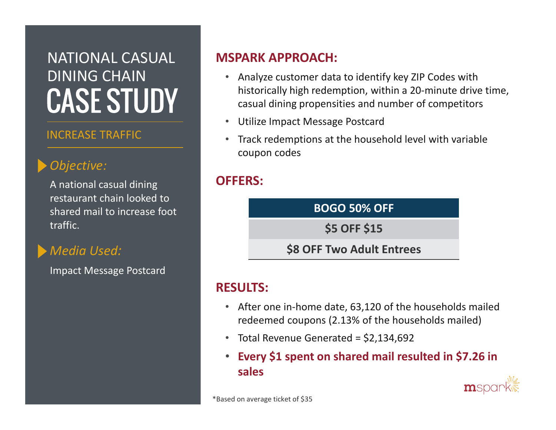# NATIONAL CASUAL DINING CHAIN**CASE STUDY**

#### INCREASE TRAFFIC

# Objective:

A national casual dining restaurant chain looked to shared mail to increase foot traffic.

## Media Used:

Impact Message Postcard

#### MSPARK APPROACH:

- $\bullet$  Analyze customer data to identify key ZIP Codes with historically high redemption, within a 20-minute drive time, casual dining propensities and number of competitors
- Utilize Impact Message Postcard
- $\bullet$  Track redemptions at the household level with variable coupon codes

#### OFFERS:



#### RESULTS:

- After one in-home date, 63,120 of the households mailed redeemed coupons (2.13% of the households mailed)
- Total Revenue Generated = \$2,134,692
- Every \$1 spent on shared mail resulted in \$7.26 in sales

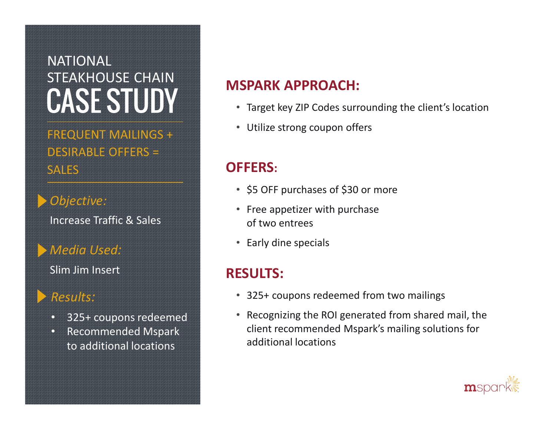# NATIONAL STEAKHOUSE CHAIN**CASE STUDY**

FREQUENT MAILINGS + DESIRABLE OFFERS = **SALES** 

Objective: Increase Traffic & Sales

#### Media Used:

Slim Jim Insert

#### Results:

- •325+ coupons redeemed
- Recommended Mspark to additional locations

## MSPARK APPROACH:

- Target key ZIP Codes surrounding the client's location
- Utilize strong coupon offers

# OFFERS:

- \$5 OFF purchases of \$30 or more
- Free appetizer with purchase of two entrees
- Early dine specials

### RESULTS:

- 325+ coupons redeemed from two mailings
- Recognizing the ROI generated from shared mail, theclient recommended Mspark's mailing solutions for additional locations